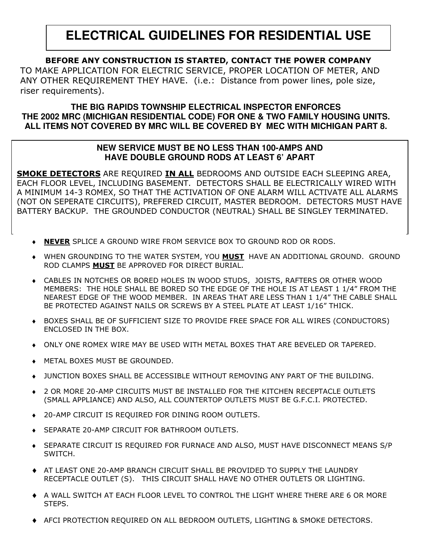# **ELECTRICAL GUIDELINES FOR RESIDENTIAL USE**

## BEFORE ANY CONSTRUCTION IS STARTED, CONTACT THE POWER COMPANY

TO MAKE APPLICATION FOR ELECTRIC SERVICE, PROPER LOCATION OF METER, AND ANY OTHER REQUIREMENT THEY HAVE. (i.e.: Distance from power lines, pole size, riser requirements).

#### **THE BIG RAPIDS TOWNSHIP ELECTRICAL INSPECTOR ENFORCES THE 2002 MRC (MICHIGAN RESIDENTIAL CODE) FOR ONE & TWO FAMILY HOUSING UNITS. ALL ITEMS NOT COVERED BY MRC WILL BE COVERED BY MEC WITH MICHIGAN PART 8.**

#### **NEW SERVICE MUST BE NO LESS THAN 100-AMPS AND HAVE DOUBLE GROUND RODS AT LEAST 6' APART**

<u>SMOKE DETECTORS</u> ARE REQUIRED <u>IN ALL</u> BEDROOMS AND OUTSIDE EACH SLEEPING AREA, EACH FLOOR LEVEL, INCLUDING BASEMENT. DETECTORS SHALL BE ELECTRICALLY WIRED WITH A MINIMUM 14-3 ROMEX, SO THAT THE ACTIVATION OF ONE ALARM WILL ACTIVATE ALL ALARMS (NOT ON SEPERATE CIRCUITS), PREFERED CIRCUIT, MASTER BEDROOM. DETECTORS MUST HAVE BATTERY BACKUP. THE GROUNDED CONDUCTOR (NEUTRAL) SHALL BE SINGLEY TERMINATED.

- ◆ NEVER SPLICE A GROUND WIRE FROM SERVICE BOX TO GROUND ROD OR RODS.
- $\bullet$  WHEN GROUNDING TO THE WATER SYSTEM, YOU  $\underline{\tt MUST}$  HAVE AN ADDITIONAL GROUND. GROUND ROD CLAMPS MUST BE APPROVED FOR DIRECT BURIAL.
- CABLES IN NOTCHES OR BORED HOLES IN WOOD STUDS, JOISTS, RAFTERS OR OTHER WOOD MEMBERS: THE HOLE SHALL BE BORED SO THE EDGE OF THE HOLE IS AT LEAST 1 1/4" FROM THE NEAREST EDGE OF THE WOOD MEMBER. IN AREAS THAT ARE LESS THAN 1 1/4" THE CABLE SHALL BE PROTECTED AGAINST NAILS OR SCREWS BY A STEEL PLATE AT LEAST 1/16" THICK.
- $\bullet$  BOXES SHALL BE OF SUFFICIENT SIZE TO PROVIDE FREE SPACE FOR ALL WIRES (CONDUCTORS) ENCLOSED IN THE BOX.
- $\bullet$  ONLY ONE ROMEX WIRE MAY BE USED WITH METAL BOXES THAT ARE BEVELED OR TAPERED.
- **METAL BOXES MUST BE GROUNDED.**
- ◆ JUNCTION BOXES SHALL BE ACCESSIBLE WITHOUT REMOVING ANY PART OF THE BUILDING.
- ◆ 2 OR MORE 20-AMP CIRCUITS MUST BE INSTALLED FOR THE KITCHEN RECEPTACLE OUTLETS (SMALL APPLIANCE) AND ALSO, ALL COUNTERTOP OUTLETS MUST BE G.F.C.I. PROTECTED.
- ◆ 20-AMP CIRCUIT IS REQUIRED FOR DINING ROOM OUTLETS.
- SEPARATE 20-AMP CIRCUIT FOR BATHROOM OUTLETS.
- ◆ SEPARATE CIRCUIT IS REQUIRED FOR FURNACE AND ALSO, MUST HAVE DISCONNECT MEANS S/P SWITCH.
- ◆ AT LEAST ONE 20-AMP BRANCH CIRCUIT SHALL BE PROVIDED TO SUPPLY THE LAUNDRY RECEPTACLE OUTLET (S). THIS CIRCUIT SHALL HAVE NO OTHER OUTLETS OR LIGHTING.
- ◆ A WALL SWITCH AT EACH FLOOR LEVEL TO CONTROL THE LIGHT WHERE THERE ARE 6 OR MORE STEPS.
- ◆ AFCI PROTECTION REQUIRED ON ALL BEDROOM OUTLETS, LIGHTING & SMOKE DETECTORS.